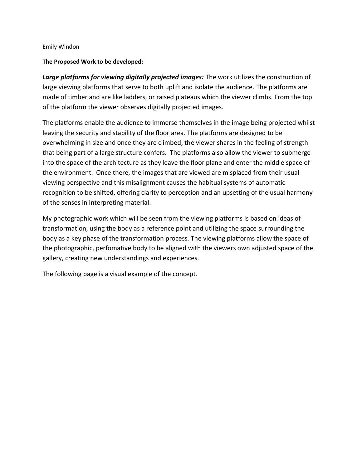# Emily Windon

# **The Proposed Work to be developed:**

*Large platforms for viewing digitally projected images:* The work utilizes the construction of large viewing platforms that serve to both uplift and isolate the audience. The platforms are made of timber and are like ladders, or raised plateaus which the viewer climbs. From the top of the platform the viewer observes digitally projected images.

The platforms enable the audience to immerse themselves in the image being projected whilst leaving the security and stability of the floor area. The platforms are designed to be overwhelming in size and once they are climbed, the viewer shares in the feeling of strength that being part of a large structure confers. The platforms also allow the viewer to submerge into the space of the architecture as they leave the floor plane and enter the middle space of the environment. Once there, the images that are viewed are misplaced from their usual viewing perspective and this misalignment causes the habitual systems of automatic recognition to be shifted, offering clarity to perception and an upsetting of the usual harmony of the senses in interpreting material.

My photographic work which will be seen from the viewing platforms is based on ideas of transformation, using the body as a reference point and utilizing the space surrounding the body as a key phase of the transformation process. The viewing platforms allow the space of the photographic, perfomative body to be aligned with the viewers own adjusted space of the gallery, creating new understandings and experiences.

The following page is a visual example of the concept.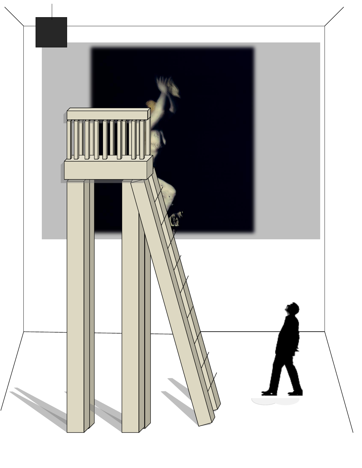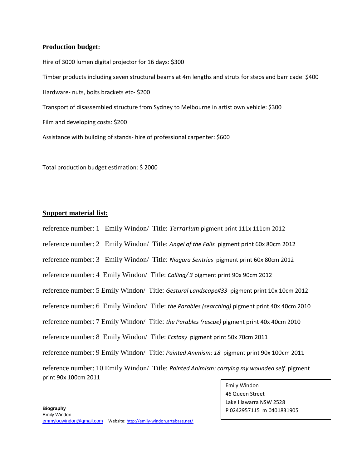### **Production budget:**

Hire of 3000 lumen digital projector for 16 days: \$300 Timber products including seven structural beams at 4m lengths and struts for steps and barricade: \$400 Hardware- nuts, bolts brackets etc- \$200 Transport of disassembled structure from Sydney to Melbourne in artist own vehicle: \$300 Film and developing costs: \$200 Assistance with building of stands- hire of professional carpenter: \$600

Total production budget estimation: \$ 2000

# **Support material list:**

reference number: 1 Emily Windon/ Title: *Terrarium* pigment print 111x 111cm 2012 reference number: 2 Emily Windon/ Title: *Angel of the Falls* pigment print 60x 80cm 2012 reference number: 3 Emily Windon/ Title: *Niagara Sentries* pigment print 60x 80cm 2012 reference number: 4 Emily Windon/ Title: *Calling/ 3* pigment print 90x 90cm 2012 reference number: 5 Emily Windon/ Title: *Gestural Landscape#33* pigment print 10x 10cm 2012 reference number: 6 Emily Windon/ Title: *the Parables (searching)* pigment print 40x 40cm 2010 reference number: 7 Emily Windon/ Title: *the Parables (rescue)* pigment print 40x 40cm 2010 reference number: 8 Emily Windon/ Title: *Ecstasy* pigment print 50x 70cm 2011 reference number: 9 Emily Windon/ Title: *Painted Animism: 18* pigment print 90x 100cm 2011 reference number: 10 Emily Windon/ Title: *Painted Animism: carrying my wounded self* pigment print 90x 100cm 2011